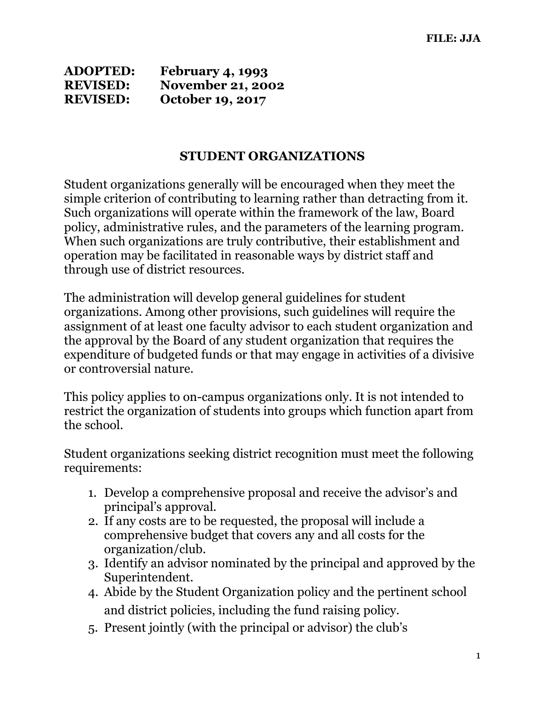| <b>ADOPTED:</b> | <b>February 4, 1993</b>  |
|-----------------|--------------------------|
| <b>REVISED:</b> | <b>November 21, 2002</b> |
| <b>REVISED:</b> | <b>October 19, 2017</b>  |

## **STUDENT ORGANIZATIONS**

Student organizations generally will be encouraged when they meet the simple criterion of contributing to learning rather than detracting from it. Such organizations will operate within the framework of the law, Board policy, administrative rules, and the parameters of the learning program. When such organizations are truly contributive, their establishment and operation may be facilitated in reasonable ways by district staff and through use of district resources.

The administration will develop general guidelines for student organizations. Among other provisions, such guidelines will require the assignment of at least one faculty advisor to each student organization and the approval by the Board of any student organization that requires the expenditure of budgeted funds or that may engage in activities of a divisive or controversial nature.

This policy applies to on-campus organizations only. It is not intended to restrict the organization of students into groups which function apart from the school.

Student organizations seeking district recognition must meet the following requirements:

- 1. Develop a comprehensive proposal and receive the advisor's and principal's approval.
- 2. If any costs are to be requested, the proposal will include a comprehensive budget that covers any and all costs for the organization/club.
- 3. Identify an advisor nominated by the principal and approved by the Superintendent.
- 4. Abide by the Student Organization policy and the pertinent school and district policies, including the fund raising policy.
- 5. Present jointly (with the principal or advisor) the club's